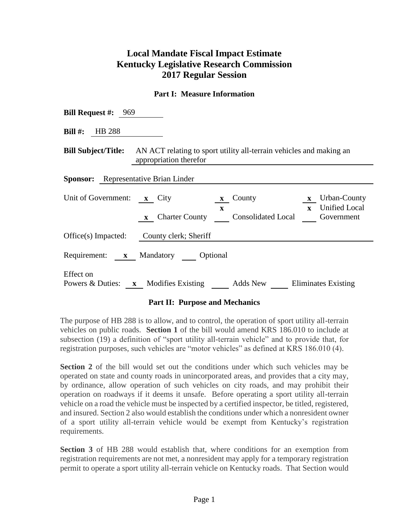# **Local Mandate Fiscal Impact Estimate Kentucky Legislative Research Commission 2017 Regular Session**

### **Part I: Measure Information**

| <b>Bill Request #:</b> 969                                                                                               |                                                                                                                                                                                   |  |  |  |  |  |  |
|--------------------------------------------------------------------------------------------------------------------------|-----------------------------------------------------------------------------------------------------------------------------------------------------------------------------------|--|--|--|--|--|--|
| Bill $\#$ : HB 288                                                                                                       |                                                                                                                                                                                   |  |  |  |  |  |  |
| <b>Bill Subject/Title:</b> AN ACT relating to sport utility all-terrain vehicles and making an<br>appropriation therefor |                                                                                                                                                                                   |  |  |  |  |  |  |
| <b>Sponsor:</b> Representative Brian Linder                                                                              |                                                                                                                                                                                   |  |  |  |  |  |  |
| Unit of Government: x City                                                                                               | Urban-County<br>County<br>$\mathbf{x}$<br>$\mathbf{x}$<br><b>Unified Local</b><br>$\mathbf{x}$<br>$\mathbf{x}$<br>Charter County Consolidated Local<br>Government<br>$\mathbf{X}$ |  |  |  |  |  |  |
|                                                                                                                          | Office(s) Impacted: County clerk; Sheriff                                                                                                                                         |  |  |  |  |  |  |
|                                                                                                                          | Requirement: x Mandatory Optional                                                                                                                                                 |  |  |  |  |  |  |
| Effect on                                                                                                                | Powers $\&$ Duties: $x$ Modifies Existing<br>Adds New Eliminates Existing                                                                                                         |  |  |  |  |  |  |

#### **Part II: Purpose and Mechanics**

The purpose of HB 288 is to allow, and to control, the operation of sport utility all-terrain vehicles on public roads. **Section 1** of the bill would amend KRS 186.010 to include at subsection (19) a definition of "sport utility all-terrain vehicle" and to provide that, for registration purposes, such vehicles are "motor vehicles" as defined at KRS 186.010 (4).

**Section 2** of the bill would set out the conditions under which such vehicles may be operated on state and county roads in unincorporated areas, and provides that a city may, by ordinance, allow operation of such vehicles on city roads, and may prohibit their operation on roadways if it deems it unsafe. Before operating a sport utility all-terrain vehicle on a road the vehicle must be inspected by a certified inspector, be titled, registered, and insured. Section 2 also would establish the conditions under which a nonresident owner of a sport utility all-terrain vehicle would be exempt from Kentucky's registration requirements.

**Section 3** of HB 288 would establish that, where conditions for an exemption from registration requirements are not met, a nonresident may apply for a temporary registration permit to operate a sport utility all-terrain vehicle on Kentucky roads. That Section would